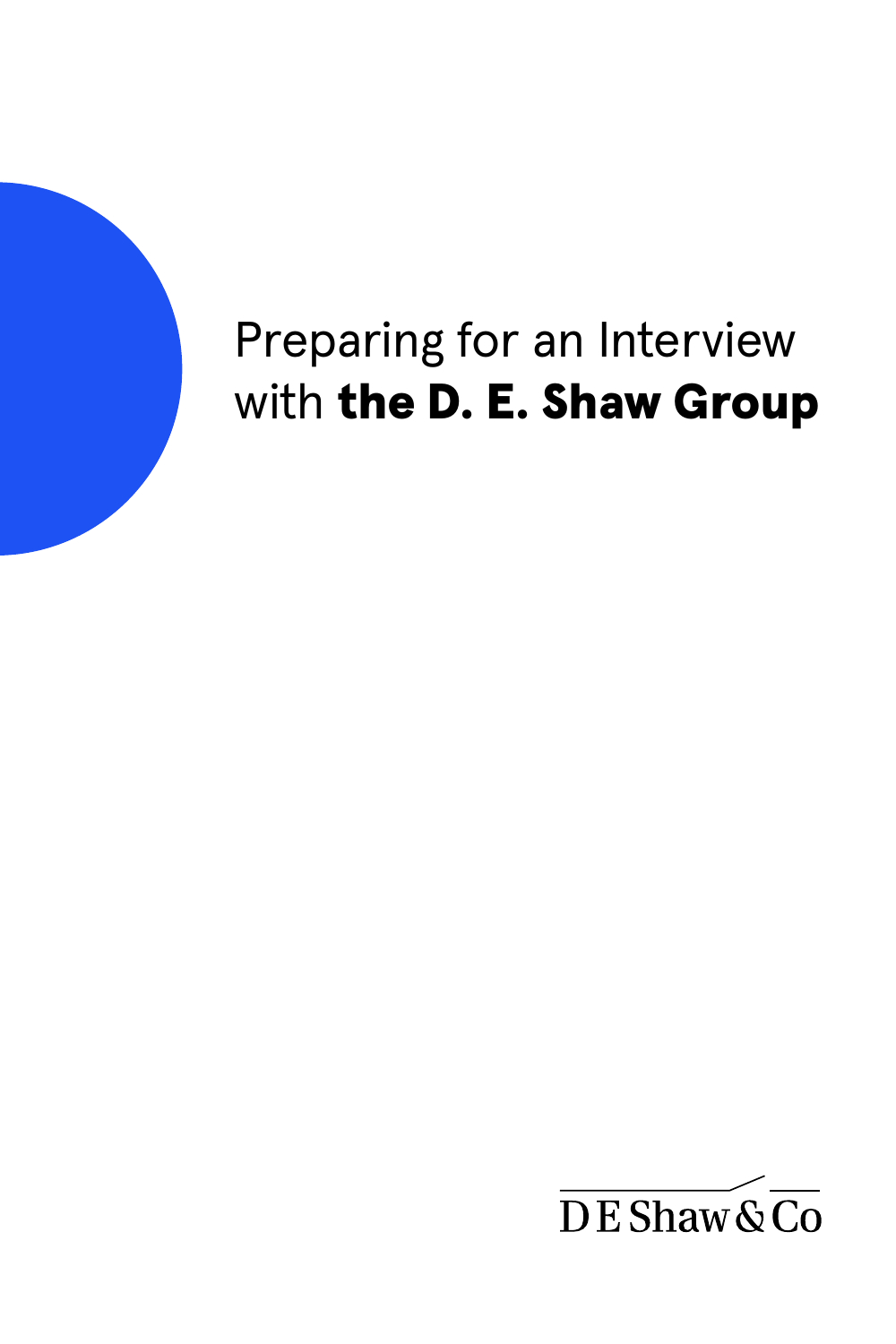# Preparing for an Interview with the D. E. Shaw Group

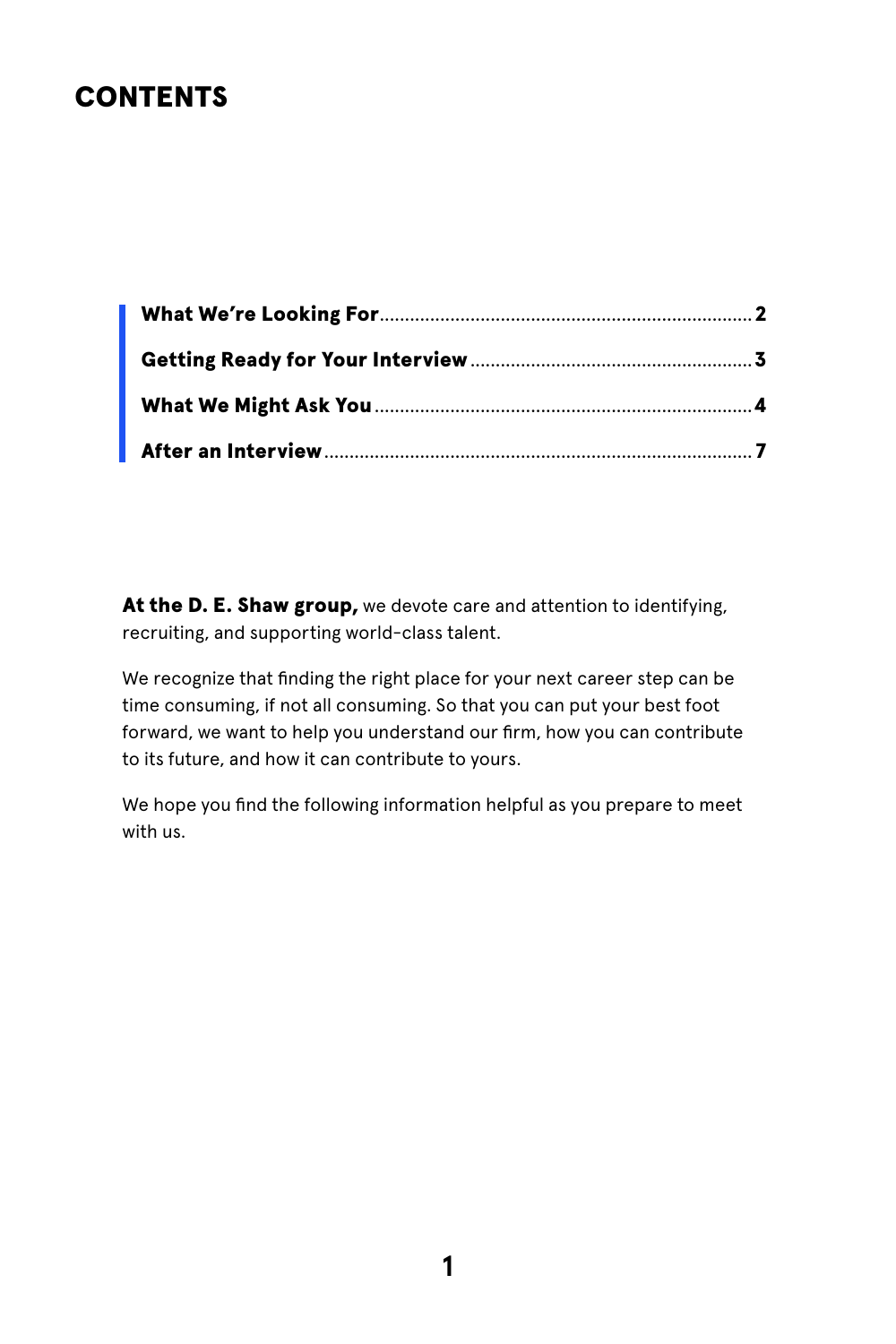#### <span id="page-1-0"></span>CONTENTS

At the D. E. Shaw group, we devote care and attention to identifying, recruiting, and supporting world-class talent.

We recognize that finding the right place for your next career step can be time consuming, if not all consuming. So that you can put your best foot forward, we want to help you understand our firm, how you can contribute to its future, and how it can contribute to yours.

We hope you find the following information helpful as you prepare to meet with us.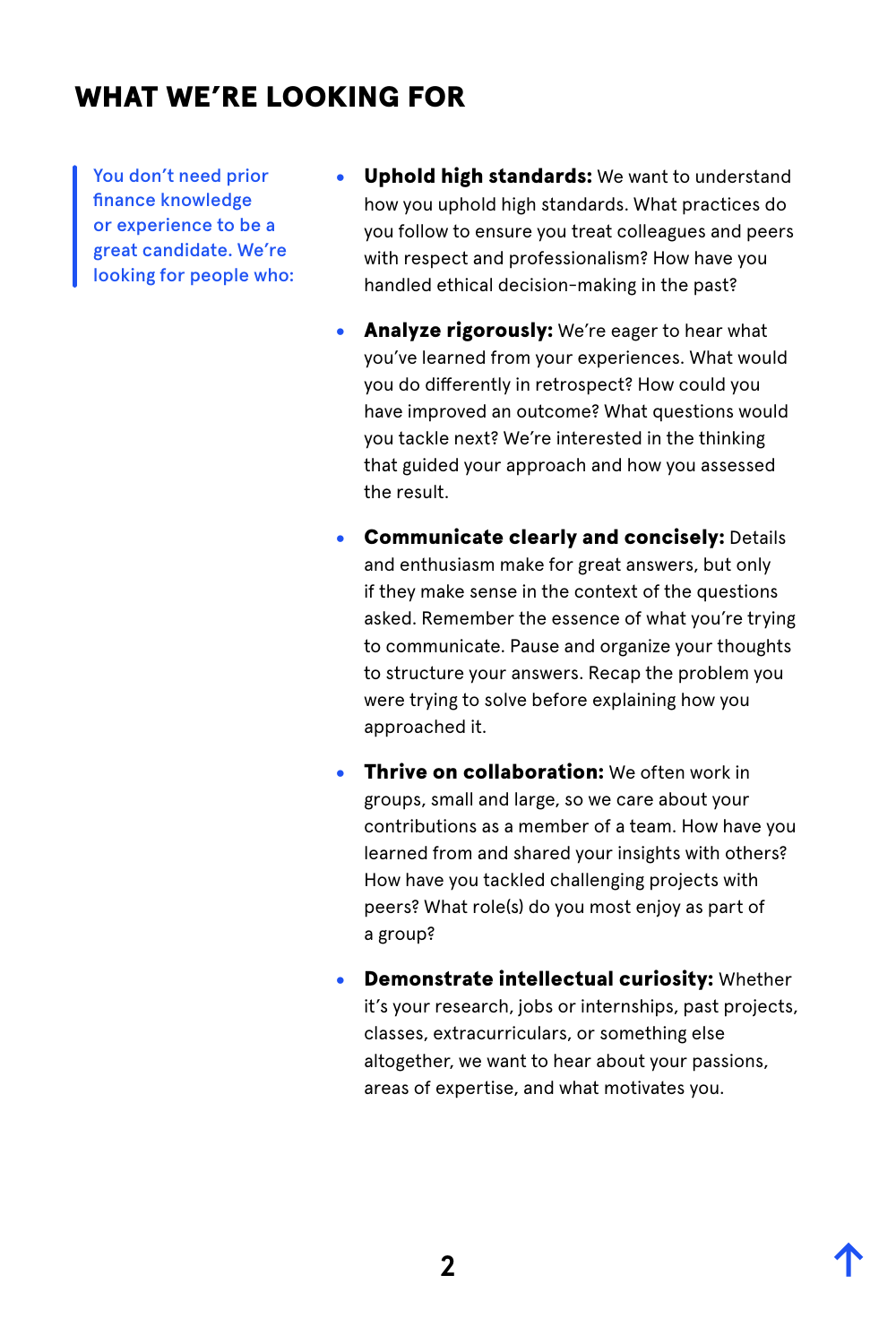### <span id="page-2-0"></span>WHAT WE'RE LOOKING FOR

You don't need prior finance knowledge or experience to be a great candidate. We're looking for people who:

- Uphold high standards: We want to understand how you uphold high standards. What practices do you follow to ensure you treat colleagues and peers with respect and professionalism? How have you handled ethical decision-making in the past?
- Analyze rigorously: We're eager to hear what you've learned from your experiences. What would you do differently in retrospect? How could you have improved an outcome? What questions would you tackle next? We're interested in the thinking that guided your approach and how you assessed the result.
- Communicate clearly and concisely: Details and enthusiasm make for great answers, but only if they make sense in the context of the questions asked. Remember the essence of what you're trying to communicate. Pause and organize your thoughts to structure your answers. Recap the problem you were trying to solve before explaining how you approached it.
- **Thrive on collaboration:** We often work in groups, small and large, so we care about your contributions as a member of a team. How have you learned from and shared your insights with others? How have you tackled challenging projects with peers? What role(s) do you most enjoy as part of a group?
- **Demonstrate intellectual curiosity: Whether** it's your research, jobs or internships, past projects, classes, extracurriculars, or something else altogether, we want to hear about your passions, areas of expertise, and what motivates you.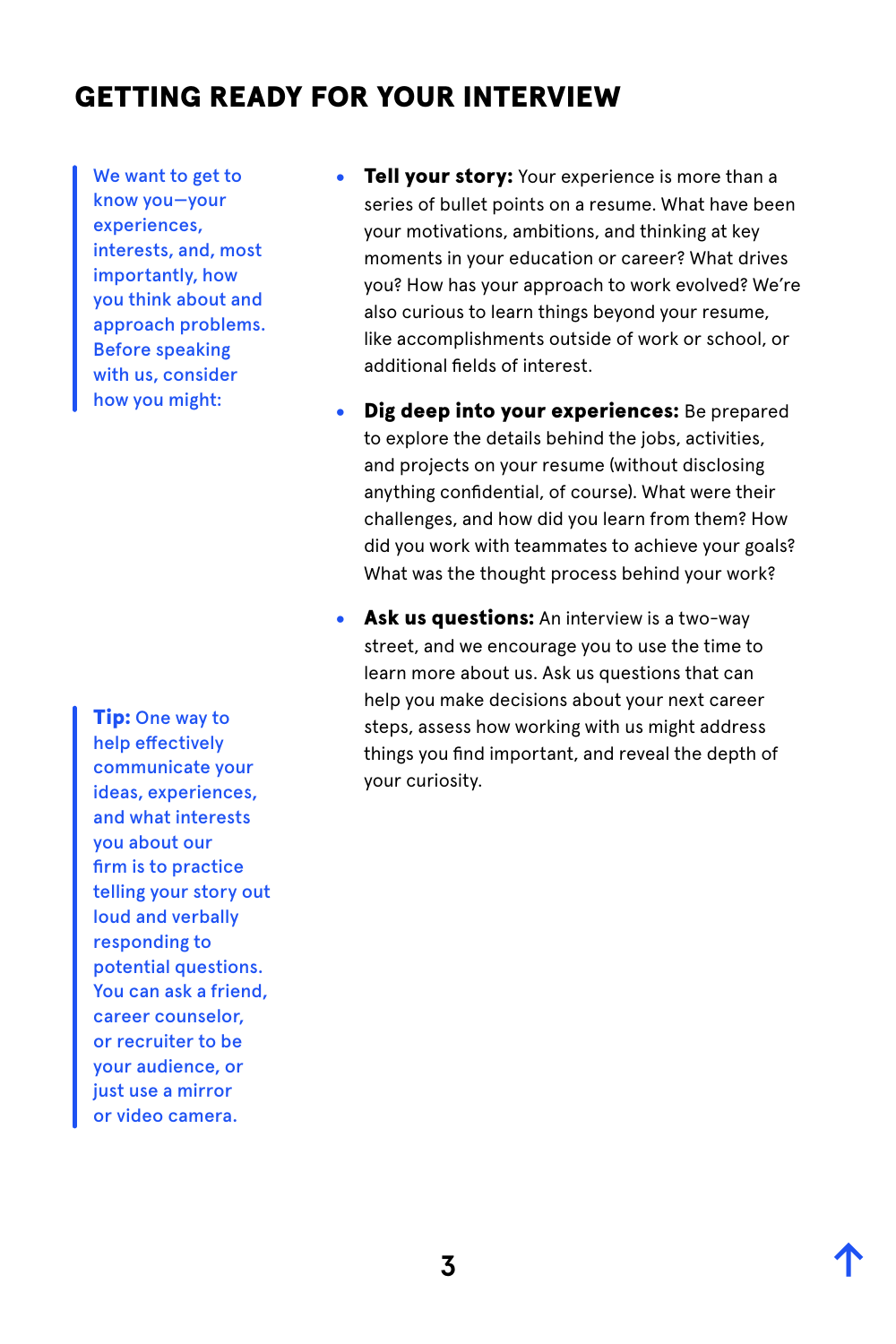#### <span id="page-3-0"></span>GETTING READY FOR YOUR INTERVIEW

We want to get to know you—your experiences, interests, and, most importantly, how you think about and approach problems. Before speaking with us, consider how you might:

**Tip:** One way to help effectively communicate your ideas, experiences, and what interests you about our firm is to practice telling your story out loud and verbally responding to potential questions. You can ask a friend, career counselor, or recruiter to be your audience, or just use a mirror or video camera.

- Tell your story: Your experience is more than a series of bullet points on a resume. What have been your motivations, ambitions, and thinking at key moments in your education or career? What drives you? How has your approach to work evolved? We're also curious to learn things beyond your resume, like accomplishments outside of work or school, or additional fields of interest.
- Dig deep into your experiences: Be prepared to explore the details behind the jobs, activities, and projects on your resume (without disclosing anything confidential, of course). What were their challenges, and how did you learn from them? How did you work with teammates to achieve your goals? What was the thought process behind your work?
- Ask us questions: An interview is a two-way street, and we encourage you to use the time to learn more about us. Ask us questions that can help you make decisions about your next career steps, assess how working with us might address things you find important, and reveal the depth of your curiosity.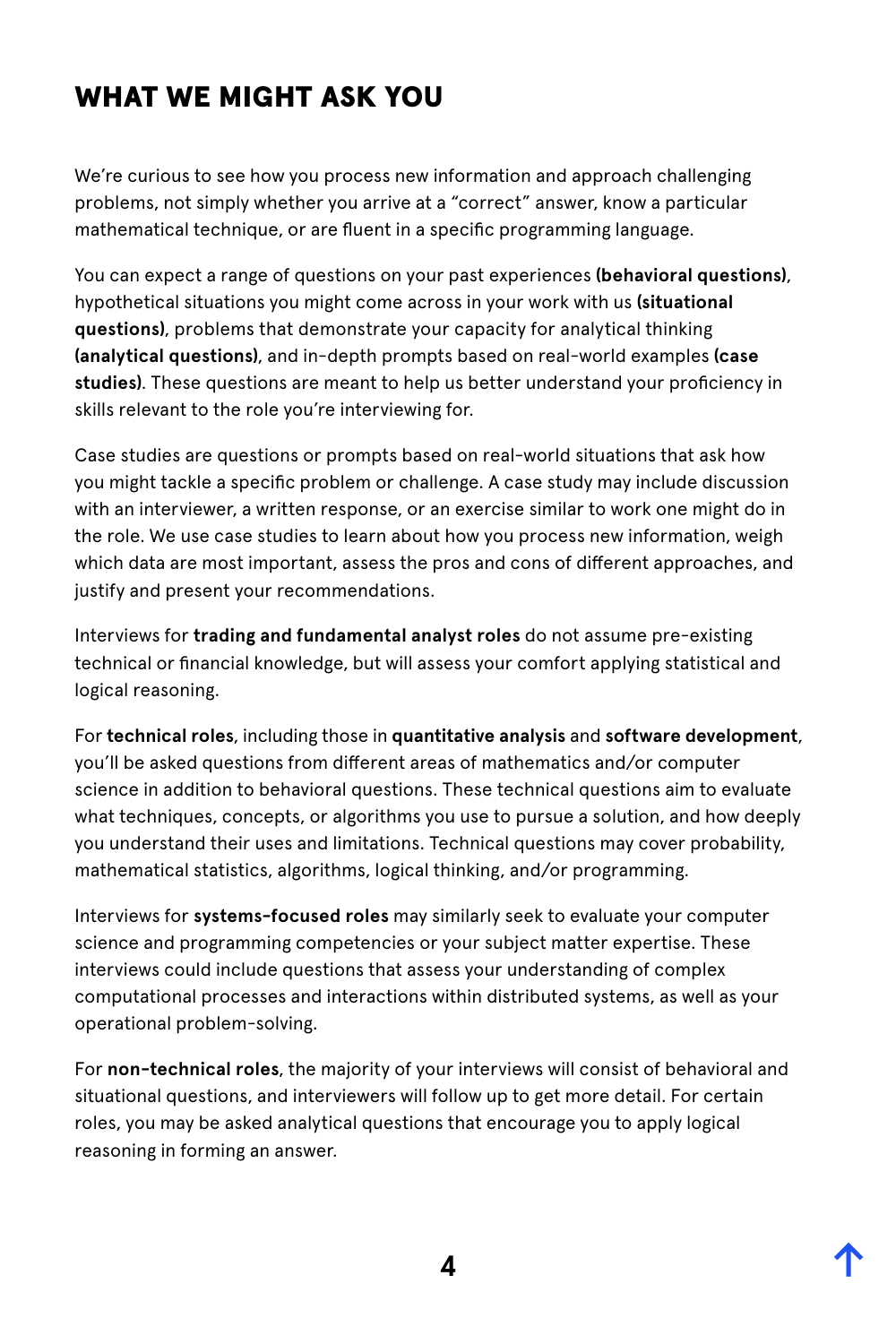## <span id="page-4-0"></span>WHAT WE MIGHT ASK YOU

We're curious to see how you process new information and approach challenging problems, not simply whether you arrive at a "correct" answer, know a particular mathematical technique, or are fluent in a specific programming language.

You can expect a range of questions on your past experiences **(behavioral questions)**, hypothetical situations you might come across in your work with us **(situational questions)**, problems that demonstrate your capacity for analytical thinking **(analytical questions)**, and in-depth prompts based on real-world examples **(case studies)**. These questions are meant to help us better understand your proficiency in skills relevant to the role you're interviewing for.

Case studies are questions or prompts based on real-world situations that ask how you might tackle a specific problem or challenge. A case study may include discussion with an interviewer, a written response, or an exercise similar to work one might do in the role. We use case studies to learn about how you process new information, weigh which data are most important, assess the pros and cons of different approaches, and justify and present your recommendations.

Interviews for **trading and fundamental analyst roles** do not assume pre-existing technical or financial knowledge, but will assess your comfort applying statistical and logical reasoning.

For **technical roles**, including those in **quantitative analysis** and **software development**, you'll be asked questions from different areas of mathematics and/or computer science in addition to behavioral questions. These technical questions aim to evaluate what techniques, concepts, or algorithms you use to pursue a solution, and how deeply you understand their uses and limitations. Technical questions may cover probability, mathematical statistics, algorithms, logical thinking, and/or programming.

Interviews for **systems-focused roles** may similarly seek to evaluate your computer science and programming competencies or your subject matter expertise. These interviews could include questions that assess your understanding of complex computational processes and interactions within distributed systems, as well as your operational problem-solving.

For **non-technical roles**, the majority of your interviews will consist of behavioral and situational questions, and interviewers will follow up to get more detail. For certain roles, you may be asked analytical questions that encourage you to apply logical reasoning in forming an answer.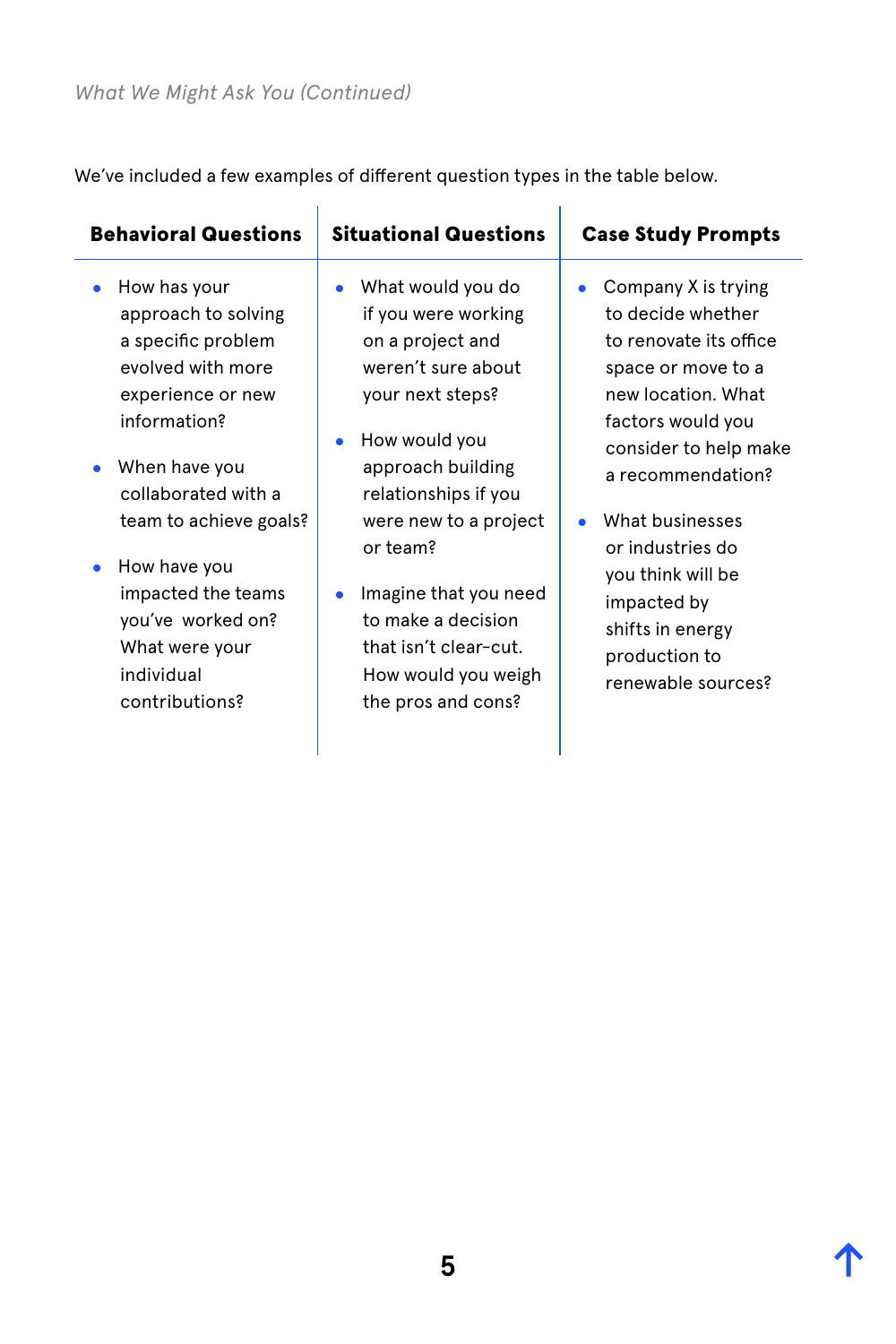We've included a few examples of different question types in the table below.

| What would you do<br>How has your<br>Company X is trying<br>$\bullet$<br>$\bullet$<br>to decide whether<br>approach to solving<br>if you were working<br>a specific problem<br>to renovate its office<br>on a project and<br>evolved with more<br>weren't sure about<br>space or move to a<br>new location, What<br>experience or new<br>your next steps?<br>information?<br>factors would you<br>How would you<br>$\bullet$<br>consider to help make<br>When have you<br>approach building<br>a recommendation?<br>collaborated with a<br>relationships if you<br>What businesses<br>team to achieve goals?<br>were new to a project<br>۰<br>or team?<br>or industries do<br>How have you<br>you think will be<br>impacted the teams<br>Imagine that you need<br>$\bullet$<br>impacted by<br>you've worked on?<br>to make a decision<br>shifts in energy<br>that isn't clear-cut.<br>What were your<br>production to<br>individual<br>How would you weigh<br>renewable sources?<br>contributions?<br>the pros and cons? | <b>Behavioral Questions</b> | <b>Situational Questions</b> | <b>Case Study Prompts</b> |
|--------------------------------------------------------------------------------------------------------------------------------------------------------------------------------------------------------------------------------------------------------------------------------------------------------------------------------------------------------------------------------------------------------------------------------------------------------------------------------------------------------------------------------------------------------------------------------------------------------------------------------------------------------------------------------------------------------------------------------------------------------------------------------------------------------------------------------------------------------------------------------------------------------------------------------------------------------------------------------------------------------------------------|-----------------------------|------------------------------|---------------------------|
|                                                                                                                                                                                                                                                                                                                                                                                                                                                                                                                                                                                                                                                                                                                                                                                                                                                                                                                                                                                                                          |                             |                              |                           |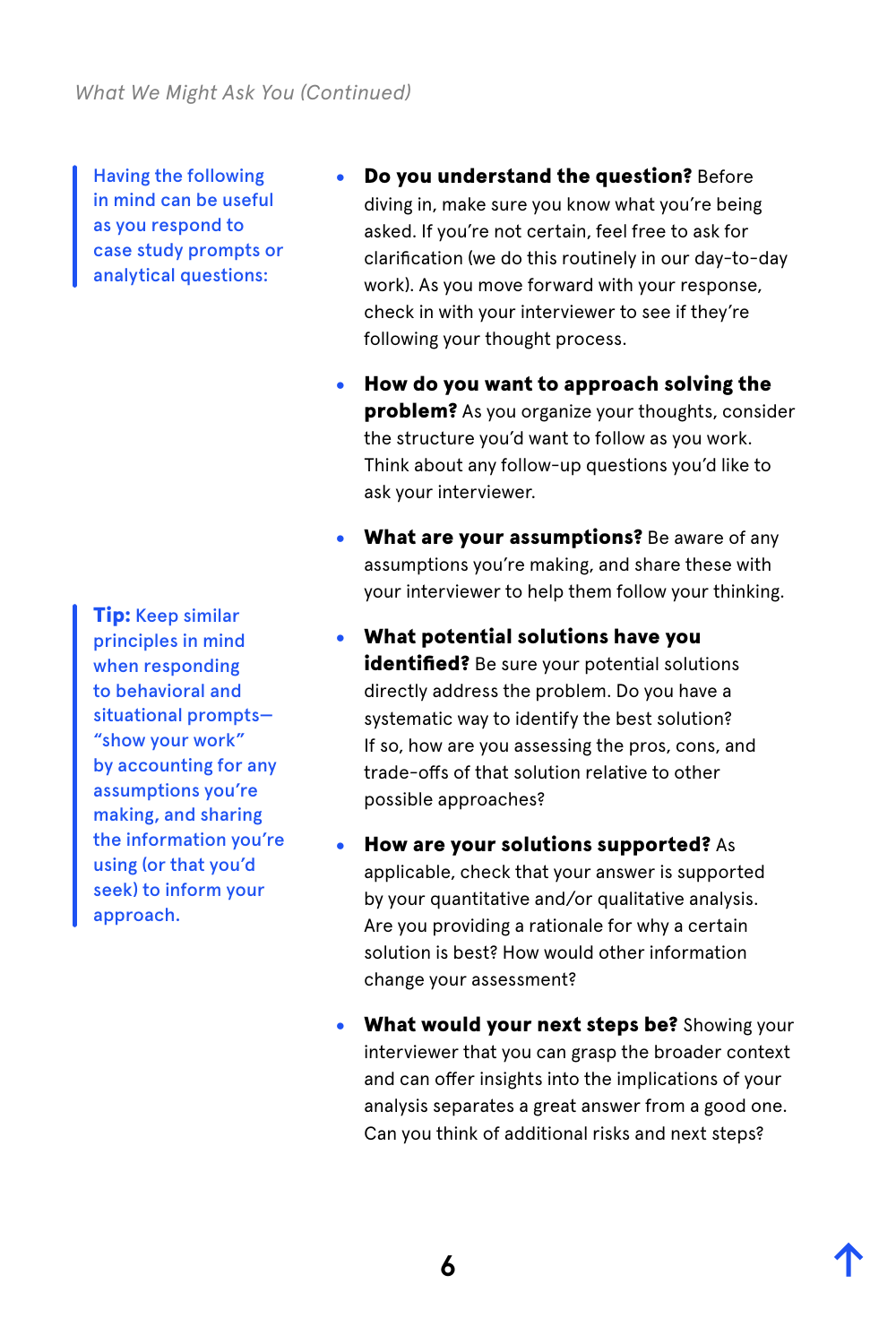*What We Might Ask You (Continued)*

Having the following in mind can be useful as you respond to case study prompts or analytical questions:

**Tip:** Keep similar principles in mind when responding to behavioral and situational prompts— "show your work" by accounting for any assumptions you're making, and sharing the information you're using (or that you'd seek) to inform your approach.

- **Do you understand the question? Before** diving in, make sure you know what you're being asked. If you're not certain, feel free to ask for clarification (we do this routinely in our day-to-day work). As you move forward with your response, check in with your interviewer to see if they're following your thought process.
- How do you want to approach solving the **problem?** As you organize your thoughts, consider the structure you'd want to follow as you work. Think about any follow-up questions you'd like to ask your interviewer.
- What are your assumptions? Be aware of any assumptions you're making, and share these with your interviewer to help them follow your thinking.
- What potential solutions have you identified? Be sure your potential solutions directly address the problem. Do you have a systematic way to identify the best solution? If so, how are you assessing the pros, cons, and trade-offs of that solution relative to other possible approaches?
- How are your solutions supported? As applicable, check that your answer is supported by your quantitative and/or qualitative analysis. Are you providing a rationale for why a certain solution is best? How would other information change your assessment?
- What would your next steps be? Showing your interviewer that you can grasp the broader context and can offer insights into the implications of your analysis separates a great answer from a good one. Can you think of additional risks and next steps?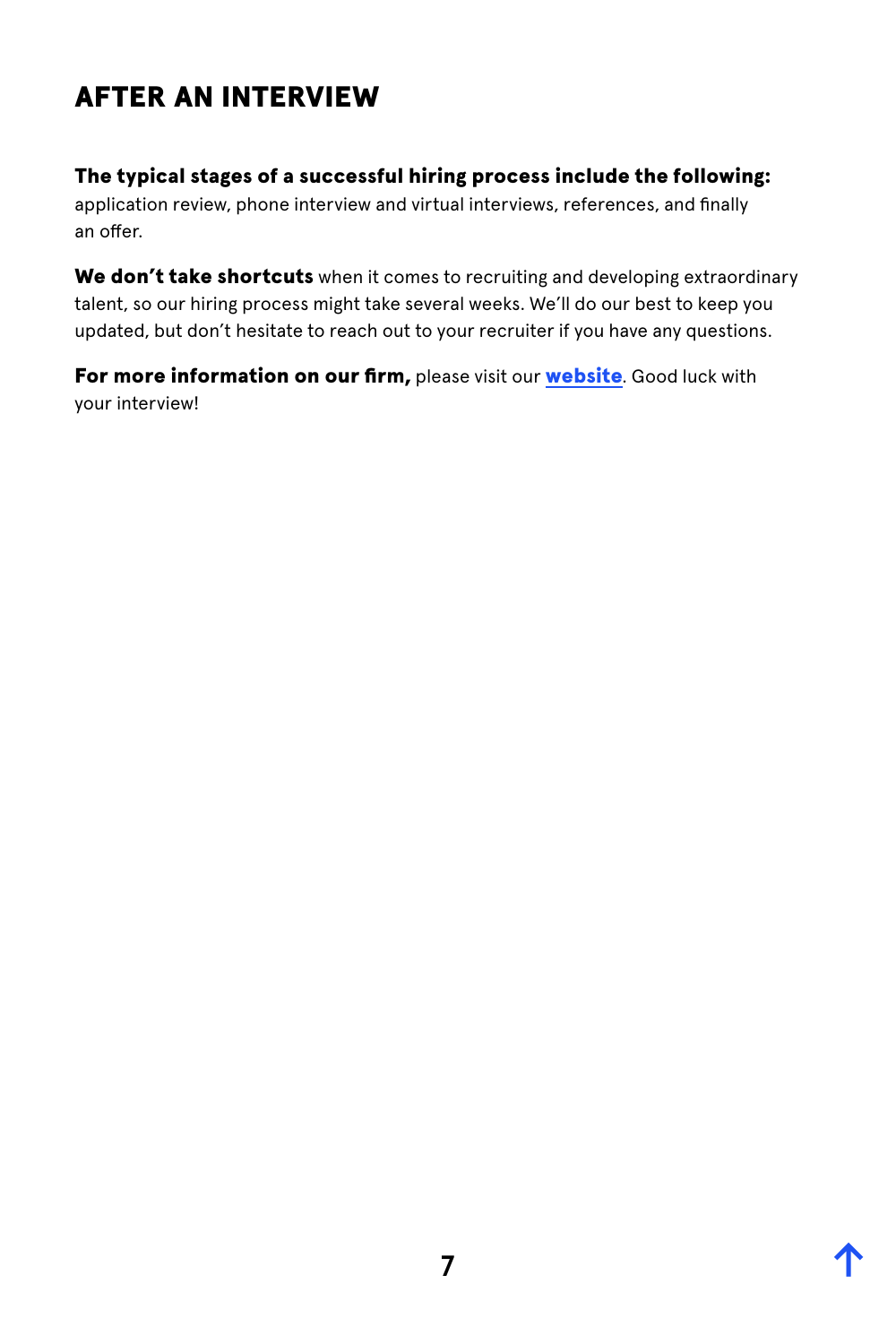# <span id="page-7-0"></span>AFTER AN INTERVIEW

#### The typical stages of a successful hiring process include the following:

application review, phone interview and virtual interviews, references, and finally an offer.

We don't take shortcuts when it comes to recruiting and developing extraordinary talent, so our hiring process might take several weeks. We'll do our best to keep you updated, but don't hesitate to reach out to your recruiter if you have any questions.

For more information on our firm, please visit our [website](https://www.deshaw.com). Good luck with your interview!